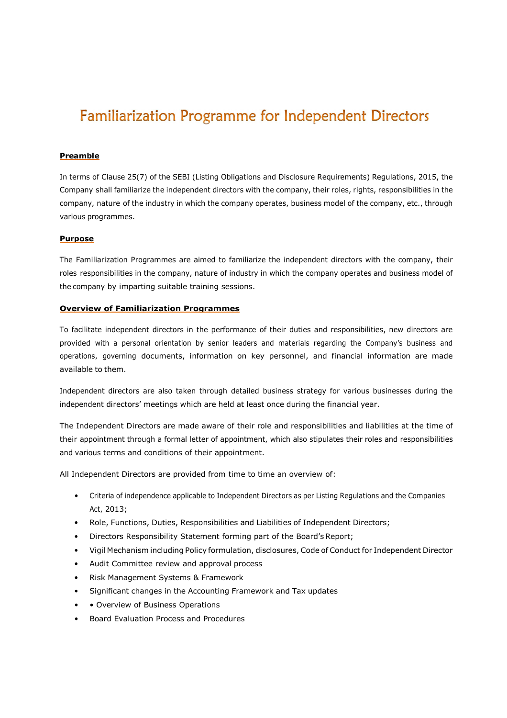# Familiarization Programme for Independent Directors

### **Preamble**

In terms of Clause 25(7) of the SEBI (Listing Obligations and Disclosure Requirements) Regulations, 2015, the Company shall familiarize the independent directors with the company, their roles, rights, responsibilities in the company, nature of the industry in which the company operates, business model of the company, etc., through various programmes.

#### **Purpose**

The Familiarization Programmes are aimed to familiarize the independent directors with the company, their roles responsibilities in the company, nature of industry in which the company operates and business model of the company by imparting suitable training sessions.

#### **Overview of Familiarization Programmes**

To facilitate independent directors in the performance of their duties and responsibilities, new directors are provided with a personal orientation by senior leaders and materials regarding the Company's business and operations, governing documents, information on key personnel, and financial information are made available to them.

Independent directors are also taken through detailed business strategy for various businesses during the independent directors' meetings which are held at least once during the financial year.

The Independent Directors are made aware of their role and responsibilities and liabilities at the time of their appointment through a formal letter of appointment, which also stipulates their roles and responsibilities and various terms and conditions of their appointment.

All Independent Directors are provided from time to time an overview of:

- Criteria of independence applicable to Independent Directors as per Listing Regulations and the Companies Act, 2013;
- Role, Functions, Duties, Responsibilities and Liabilities of Independent Directors;
- Directors Responsibility Statement forming part of the Board's Report;
- Vigil Mechanism including Policy formulation, disclosures, Code of Conduct for Independent Director
- Audit Committee review and approval process
- Risk Management Systems & Framework
- Significant changes in the Accounting Framework and Tax updates
- • Overview of Business Operations
- Board Evaluation Process and Procedures